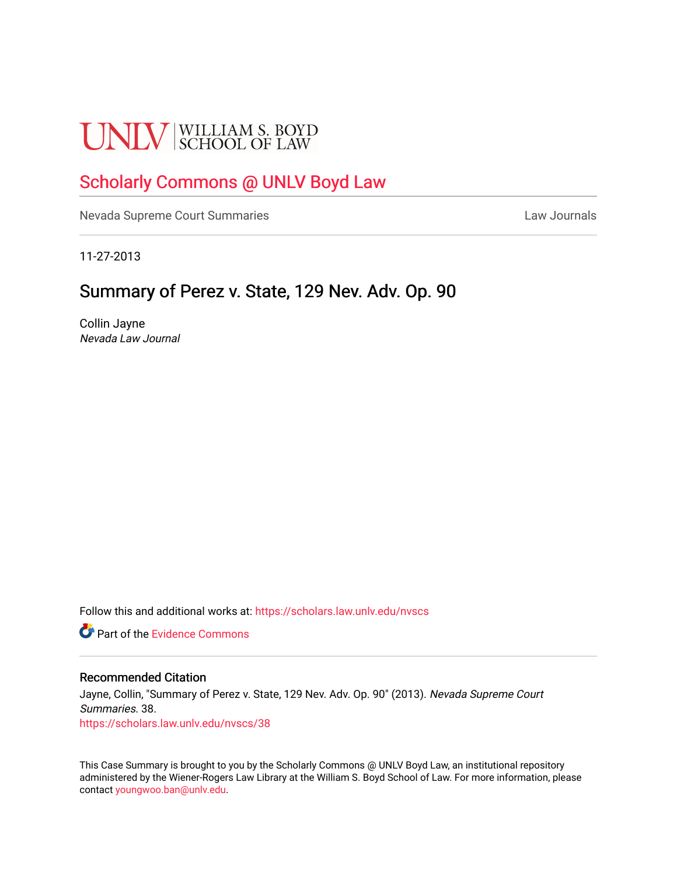# **UNLV** SCHOOL OF LAW

# [Scholarly Commons @ UNLV Boyd Law](https://scholars.law.unlv.edu/)

[Nevada Supreme Court Summaries](https://scholars.law.unlv.edu/nvscs) **Law Journals** Law Journals

11-27-2013

# Summary of Perez v. State, 129 Nev. Adv. Op. 90

Collin Jayne Nevada Law Journal

Follow this and additional works at: [https://scholars.law.unlv.edu/nvscs](https://scholars.law.unlv.edu/nvscs?utm_source=scholars.law.unlv.edu%2Fnvscs%2F38&utm_medium=PDF&utm_campaign=PDFCoverPages)

**C** Part of the Evidence Commons

#### Recommended Citation

Jayne, Collin, "Summary of Perez v. State, 129 Nev. Adv. Op. 90" (2013). Nevada Supreme Court Summaries. 38. [https://scholars.law.unlv.edu/nvscs/38](https://scholars.law.unlv.edu/nvscs/38?utm_source=scholars.law.unlv.edu%2Fnvscs%2F38&utm_medium=PDF&utm_campaign=PDFCoverPages) 

This Case Summary is brought to you by the Scholarly Commons @ UNLV Boyd Law, an institutional repository administered by the Wiener-Rogers Law Library at the William S. Boyd School of Law. For more information, please contact [youngwoo.ban@unlv.edu](mailto:youngwoo.ban@unlv.edu).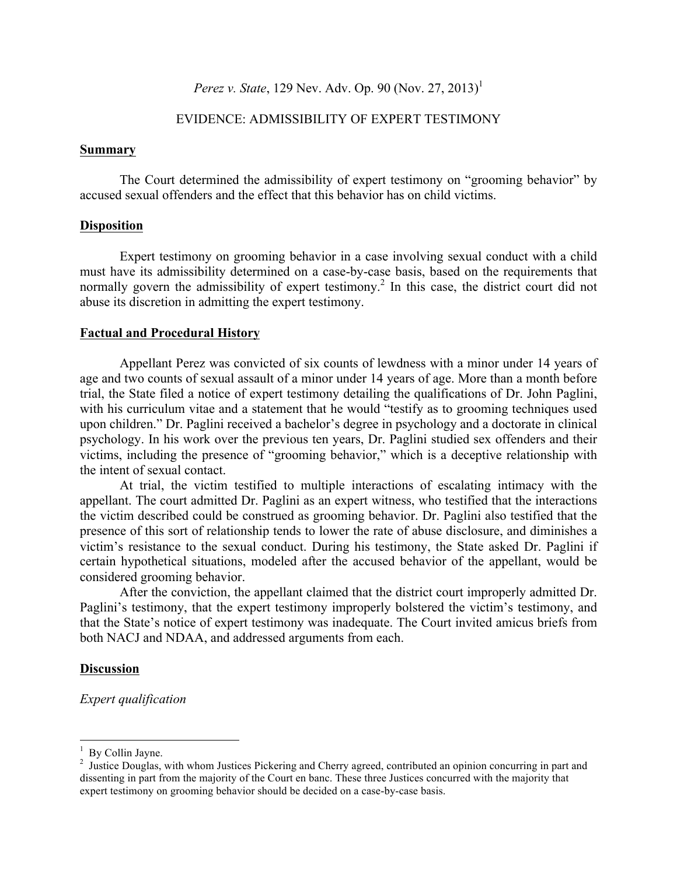# *Perez v. State*, 129 Nev. Adv. Op. 90 (Nov. 27, 2013)<sup>1</sup>

# EVIDENCE: ADMISSIBILITY OF EXPERT TESTIMONY

#### **Summary**

The Court determined the admissibility of expert testimony on "grooming behavior" by accused sexual offenders and the effect that this behavior has on child victims.

# **Disposition**

Expert testimony on grooming behavior in a case involving sexual conduct with a child must have its admissibility determined on a case-by-case basis, based on the requirements that normally govern the admissibility of expert testimony.<sup>2</sup> In this case, the district court did not abuse its discretion in admitting the expert testimony.

#### **Factual and Procedural History**

Appellant Perez was convicted of six counts of lewdness with a minor under 14 years of age and two counts of sexual assault of a minor under 14 years of age. More than a month before trial, the State filed a notice of expert testimony detailing the qualifications of Dr. John Paglini, with his curriculum vitae and a statement that he would "testify as to grooming techniques used upon children." Dr. Paglini received a bachelor's degree in psychology and a doctorate in clinical psychology. In his work over the previous ten years, Dr. Paglini studied sex offenders and their victims, including the presence of "grooming behavior," which is a deceptive relationship with the intent of sexual contact.

At trial, the victim testified to multiple interactions of escalating intimacy with the appellant. The court admitted Dr. Paglini as an expert witness, who testified that the interactions the victim described could be construed as grooming behavior. Dr. Paglini also testified that the presence of this sort of relationship tends to lower the rate of abuse disclosure, and diminishes a victim's resistance to the sexual conduct. During his testimony, the State asked Dr. Paglini if certain hypothetical situations, modeled after the accused behavior of the appellant, would be considered grooming behavior.

After the conviction, the appellant claimed that the district court improperly admitted Dr. Paglini's testimony, that the expert testimony improperly bolstered the victim's testimony, and that the State's notice of expert testimony was inadequate. The Court invited amicus briefs from both NACJ and NDAA, and addressed arguments from each.

### **Discussion**

*Expert qualification*

 $\frac{1}{1}$  $<sup>1</sup>$  By Collin Jayne.</sup>

<sup>&</sup>lt;sup>2</sup> Justice Douglas, with whom Justices Pickering and Cherry agreed, contributed an opinion concurring in part and dissenting in part from the majority of the Court en banc. These three Justices concurred with the majority that expert testimony on grooming behavior should be decided on a case-by-case basis.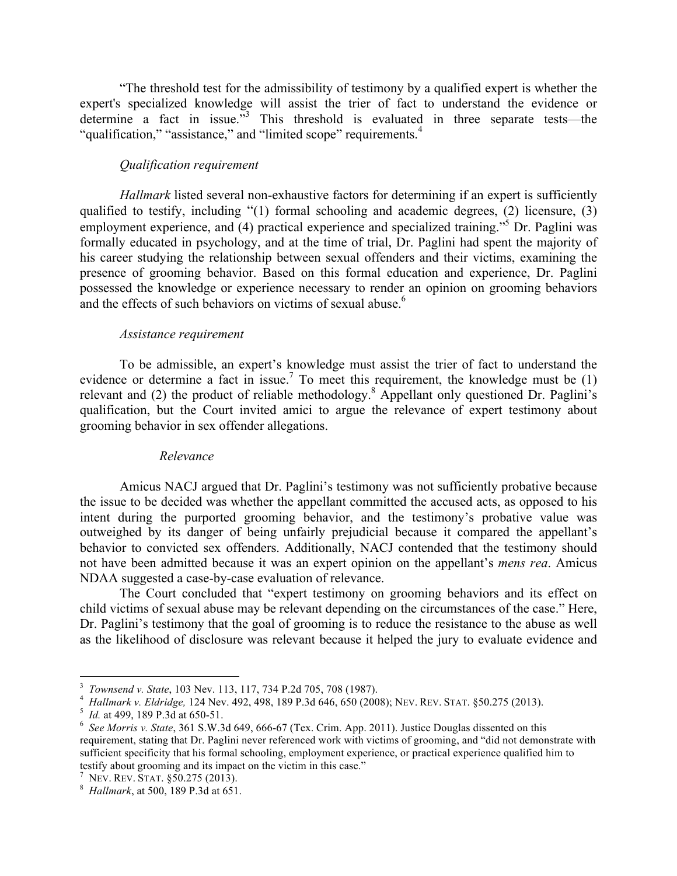"The threshold test for the admissibility of testimony by a qualified expert is whether the expert's specialized knowledge will assist the trier of fact to understand the evidence or determine a fact in issue.<sup>73</sup> This threshold is evaluated in three separate tests—the "qualification," "assistance," and "limited scope" requirements.<sup>4</sup>

# *Qualification requirement*

*Hallmark* listed several non-exhaustive factors for determining if an expert is sufficiently qualified to testify, including "(1) formal schooling and academic degrees, (2) licensure, (3) employment experience, and (4) practical experience and specialized training.<sup>55</sup> Dr. Paglini was formally educated in psychology, and at the time of trial, Dr. Paglini had spent the majority of his career studying the relationship between sexual offenders and their victims, examining the presence of grooming behavior. Based on this formal education and experience, Dr. Paglini possessed the knowledge or experience necessary to render an opinion on grooming behaviors and the effects of such behaviors on victims of sexual abuse.<sup>6</sup>

# *Assistance requirement*

To be admissible, an expert's knowledge must assist the trier of fact to understand the evidence or determine a fact in issue.<sup>7</sup> To meet this requirement, the knowledge must be  $(1)$ relevant and (2) the product of reliable methodology.<sup>8</sup> Appellant only questioned Dr. Paglini's qualification, but the Court invited amici to argue the relevance of expert testimony about grooming behavior in sex offender allegations.

# *Relevance*

Amicus NACJ argued that Dr. Paglini's testimony was not sufficiently probative because the issue to be decided was whether the appellant committed the accused acts, as opposed to his intent during the purported grooming behavior, and the testimony's probative value was outweighed by its danger of being unfairly prejudicial because it compared the appellant's behavior to convicted sex offenders. Additionally, NACJ contended that the testimony should not have been admitted because it was an expert opinion on the appellant's *mens rea*. Amicus NDAA suggested a case-by-case evaluation of relevance.

The Court concluded that "expert testimony on grooming behaviors and its effect on child victims of sexual abuse may be relevant depending on the circumstances of the case." Here, Dr. Paglini's testimony that the goal of grooming is to reduce the resistance to the abuse as well as the likelihood of disclosure was relevant because it helped the jury to evaluate evidence and

 $\frac{1}{3}$ 

<sup>&</sup>lt;sup>3</sup> *Townsend v. State*, 103 Nev. 113, 117, 734 P.2d 705, 708 (1987).<br><sup>4</sup> *Hallmark v. Eldridge*, 124 Nev. 492, 498, 189 P.3d 646, 650 (2008); NEV. REV. STAT. §50.275 (2013).

<sup>&</sup>lt;sup>5</sup> *Id.* at 499, 189 P.3d at 650-51.

*See Morris v. State*, 361 S.W.3d 649, 666-67 (Tex. Crim. App. 2011). Justice Douglas dissented on this requirement, stating that Dr. Paglini never referenced work with victims of grooming, and "did not demonstrate with sufficient specificity that his formal schooling, employment experience, or practical experience qualified him to testify about grooming and its impact on the victim in this case." <sup>7</sup> NEV. REV. STAT. §50.275 (2013). <sup>8</sup> *Hallmark*, at 500, 189 P.3d at 651.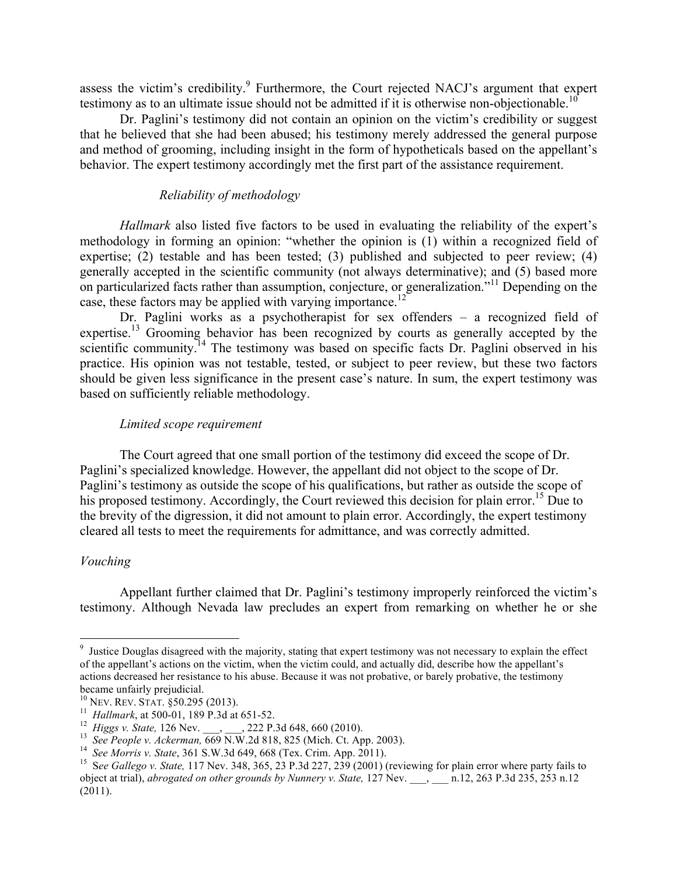assess the victim's credibility.<sup>9</sup> Furthermore, the Court rejected NACJ's argument that expert testimony as to an ultimate issue should not be admitted if it is otherwise non-objectionable.<sup>10</sup>

Dr. Paglini's testimony did not contain an opinion on the victim's credibility or suggest that he believed that she had been abused; his testimony merely addressed the general purpose and method of grooming, including insight in the form of hypotheticals based on the appellant's behavior. The expert testimony accordingly met the first part of the assistance requirement.

# *Reliability of methodology*

*Hallmark* also listed five factors to be used in evaluating the reliability of the expert's methodology in forming an opinion: "whether the opinion is (1) within a recognized field of expertise; (2) testable and has been tested; (3) published and subjected to peer review; (4) generally accepted in the scientific community (not always determinative); and (5) based more on particularized facts rather than assumption, conjecture, or generalization."<sup>11</sup> Depending on the case, these factors may be applied with varying importance.<sup>12</sup>

Dr. Paglini works as a psychotherapist for sex offenders – a recognized field of expertise.<sup>13</sup> Grooming behavior has been recognized by courts as generally accepted by the scientific community.<sup>14</sup> The testimony was based on specific facts Dr. Paglini observed in his practice. His opinion was not testable, tested, or subject to peer review, but these two factors should be given less significance in the present case's nature. In sum, the expert testimony was based on sufficiently reliable methodology.

# *Limited scope requirement*

The Court agreed that one small portion of the testimony did exceed the scope of Dr. Paglini's specialized knowledge. However, the appellant did not object to the scope of Dr. Paglini's testimony as outside the scope of his qualifications, but rather as outside the scope of his proposed testimony. Accordingly, the Court reviewed this decision for plain error.<sup>15</sup> Due to the brevity of the digression, it did not amount to plain error. Accordingly, the expert testimony cleared all tests to meet the requirements for admittance, and was correctly admitted.

# *Vouching*

Appellant further claimed that Dr. Paglini's testimony improperly reinforced the victim's testimony. Although Nevada law precludes an expert from remarking on whether he or she

<sup>-&</sup>lt;br>9 <sup>9</sup> Justice Douglas disagreed with the majority, stating that expert testimony was not necessary to explain the effect of the appellant's actions on the victim, when the victim could, and actually did, describe how the appellant's actions decreased her resistance to his abuse. Because it was not probative, or barely probative, the testimony became unfairly prejudicial.<br><sup>10</sup> Nev. Rev. STAT. §50.295 (2013).

<sup>&</sup>lt;sup>11</sup> Hallmark, at 500-01, 189 P.3d at 651-52.<br><sup>12</sup> Higgs v. State, 126 Nev. \_\_\_, \_\_\_, 222 P.3d 648, 660 (2010).<br><sup>13</sup> See People v. Ackerman, 669 N.W.2d 818, 825 (Mich. Ct. App. 2003).<br><sup>14</sup> See Morris v. State, 361 S.W.3d object at trial), *abrogated on other grounds by Nunnery v. State*, 127 Nev. \_\_, \_\_\_ n.12, 263 P.3d 235, 253 n.12 (2011).